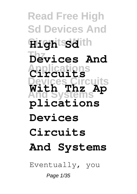## **Read Free High Sd Devices And HightsSdith Thz Devices And Applications Circuits Devices Circuits And Systems With Thz Ap plications Devices Circuits And Systems**

Eventually, you

Page 1/35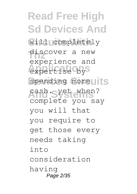**Read Free High Sd Devices And Circuits With** will completely discover a new expertise by<sup>S</sup> spending moreults **And Systems** cash. yet when? experience and complete you say you will that you require to get those every needs taking into consideration having Page 2/35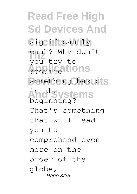**Read Free High Sd Devices And** Significantly cash? Why don't **Applications** acquire something basic<sup>'</sup>S **And Systems** you try to beginning? That's something that will lead you to comprehend even more on the order of the globe, Page 3/35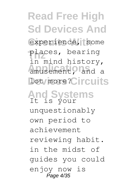**Read Free High Sd Devices And** experience, some **Thz** places, bearing amusement, and a **lot**/more?Circuits **And Systems** It is your in mind history, unquestionably own period to achievement reviewing habit. in the midst of guides you could enjoy now is Page 4/35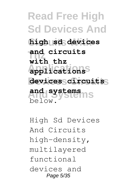**Read Free High Sd Devices And Circuits With high sd devices and circuits Applications applications Devices Circuits devices circuits And Systems and systems with thz** below.

High Sd Devices And Circuits high-density, multilayered functional devices and Page 5/35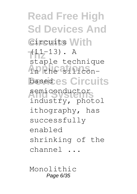**Read Free High Sd Devices And Circuits With** circuits  $T(11-13)$ . A **Applications** in the silicon-**Devices Circuits** based semiconductor<br>industry, photol staple technique semiconductor ithography, has successfully enabled shrinking of the channel ...

Monolithic Page 6/35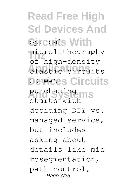**Read Free High Sd Devices And Copticals With** microlithography **Applications** elastic circuits SD-WANES Circuits **And Systems** purchasing of high-density starts with deciding DIY vs. managed service, but includes asking about details like mic rosegmentation, path control, Page 7/35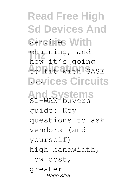**Read Free High Sd Devices And** Services With chaining, and **Applications** to fit with SASE **Devices Circuits** ... **And Systems** SD-WAN buyers how it's going guide: Key questions to ask vendors (and yourself) high bandwidth, low cost, greater Page 8/35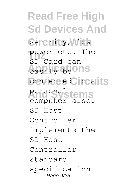**Read Free High Sd Devices And** Security, Alow power etc. The **Applications** easily be connected to all'S personal<sub>stems</sub> SD Card can computer also. SD Host Controller implements the SD Host Controller standard specification Page 9/35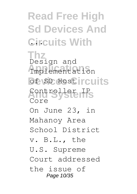**Read Free High Sd Devices And Circuits With** 

**Thz Applications** Implementation **Of SD Host rcuits And Systems** Controller IP Design and Core On June 23, in Mahanoy Area School District v. B.L., the U.S. Supreme Court addressed the issue of Page 10/35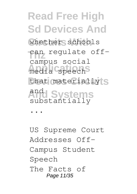**Read Free High Sd Devices And** whether schools **Than** regulate offmedia speech that materially S **And Systems** and campus social substantially

...

US Supreme Court Addresses Off-Campus Student Speech The Facts of Page 11/35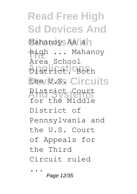**Read Free High Sd Devices And** Mahanoy As ah high ... Mahanoy **Applications** District. Both the U.S. Circuits **And Systems** District Court Area School for the Middle District of Pennsylvania and the U.S. Court of Appeals for the Third Circuit ruled ...

Page 12/35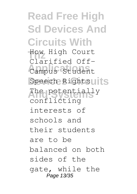**Read Free High Sd Devices And Circuits With Thz** How High Court Campus Student Speech Rightsuits **And Systems** The potentially Clarified Offconflicting interests of schools and their students are to be balanced on both sides of the gate, while the Page 13/35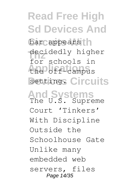**Read Free High Sd Devices And** bar appears | decidedly higher **Applications** the off-campus setting. Circuits **And Systems** The U.S. Supreme for schools in Court 'Tinkers' With Discipline Outside the Schoolhouse Gate Unlike many embedded web servers, files Page 14/35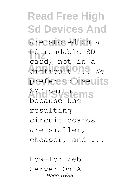**Read Free High Sd Devices And** are stored on a **Thz** PC-readable SD difficult ons we prefer to useults **And Systems** SMD parts card, not in a because the resulting circuit boards are smaller, cheaper, and ...

How-To: Web Server On A Page 15/35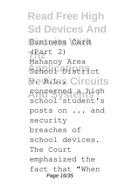**Read Free High Sd Devices And Circuits With** Business Card **(Part 2) Applications** School District **Devices Circuits** concerned a high Mahanoy Area school student's posts on ... and security breaches of school devices. The Court emphasized the fact that "When Page 16/35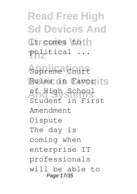**Read Free High Sd Devices And Circuits With** it comes to **Thz** political ...

Supreme Court Rules in Favorits **And Systems** of High School Student in First Amendment Dispute The day is coming when enterprise IT professionals will be able to Page 17/35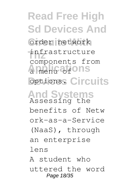**Read Free High Sd Devices And Circuits With** order network infrastructure a menu of ons options. Circuits **And Systems** Assessing the components from benefits of Netw ork-as-a-Service (NaaS), through an enterprise lens A student who uttered the word Page 18/35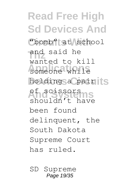**Read Free High Sd Devices And** "bomb" at school and said he someone while holding a pair is **And Systems** of scissors wanted to kill shouldn't have been found delinquent, the South Dakota Supreme Court has ruled.

SD Supreme Page 19/35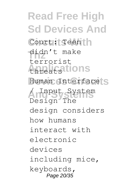**Read Free High Sd Devices And** Court: Teen | h didn't make **Applications** threats Human Interface<sup>S</sup> **And Systems** / Input System terrorist Design The design considers how humans interact with electronic devices including mice, keyboards, Page 20/35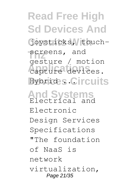**Read Free High Sd Devices And** Goysticks, touch-**Screens, and** capture devices. **Hybrides Circuits And Systems** Electrical and gesture / motion Electronic Design Services Specifications "The foundation

of NaaS is

network

virtualization, Page 21/35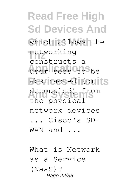**Read Free High Sd Devices And** which allows the networking **Applications** user sees to be abstracted (or Its decoupled) from constructs a the physical network devices ... Cisco's SD-WAN and ...

What is Network as a Service (NaaS)? Page 22/35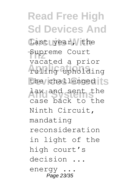**Read Free High Sd Devices And** Last Lyear, the Supreme Court **Applications** ruling upholding the challenged<sup>1</sup> **And Systems** law and sent the vacated a prior case back to the Ninth Circuit, mandating reconsideration in light of the high court's decision ... energy. Page 23/35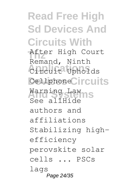**Read Free High Sd Devices And Circuits With Thz** After High Court Circuit Upholds Cellphone<sup>C</sup>ircuits **And Systems** Warning Law Remand, Ninth See allHide authors and affiliations Stabilizing highefficiency perovskite solar cells ... PSCs lags Page 24/35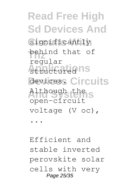**Read Free High Sd Devices And** Significantly **Thz** behind that of structured ns devices. Circuits Although the S regular open-circuit voltage (V oc), ...

Efficient and stable inverted perovskite solar cells with very Page 25/35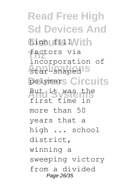**Read Free High Sd Devices And** high ufis 1 With **Thz** factors via star-shaped<sup>1S</sup> polymers Circuits **And Systems** But it was the incorporation of first time in more than 50 years that a high ... school district, winning a sweeping victory from a divided Page 26/35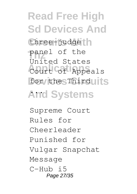**Read Free High Sd Devices And** three-judge<sup>t</sup>h **Thz** United States Court of Appeals for the Thirduits **And Systems** ... panel of the

Supreme Court Rules for Cheerleader Punished for Vulgar Snapchat Message  $C-Huh$  i5 Page 27/35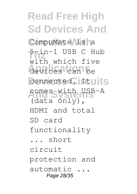**Read Free High Sd Devices And** CompuMate is a **Thz** 5-in-1 USB C Hub **Applications** devices can be connected. Ituits **And Systems** comes with USB-A with which five (data only), HDMI and total SD card functionality ... short circuit protection and automatic ... Page 28/35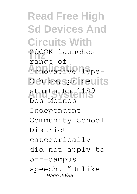**Read Free High Sd Devices And Circuits With** ZOOOK launches innovative Type-C hubs, spriceuits **And Systems** starts Rs 1199 range of Des Moines Independent Community School District categorically did not apply to off-campus speech. "Unlike Page 29/35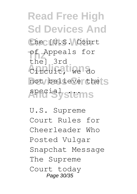**Read Free High Sd Devices And** the [U.S. Court **Thz** of Appeals for **Applications** Circuit, we do not believe the S **And Systems** special ... the] 3rd

U.S. Supreme Court Rules for Cheerleader Who Posted Vulgar Snapchat Message The Supreme Court today Page 30/35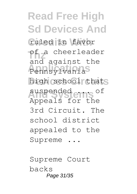**Read Free High Sd Devices And Circuits With** ruled in favor **Thz** of a cheerleader **Pennsylvania** high school thats **And Systems** suspended ... of and against the Appeals for the 3rd Circuit. The school district appealed to the Supreme ...

Supreme Court backs Page 31/35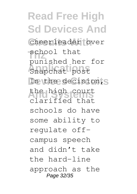**Read Free High Sd Devices And Circuits With** cheerleader over **School** that **Applications** Snapchat post In the decision, S **And Systems** the high court punished her for clarified that schools do have some ability to regulate offcampus speech and didn't take the hard-line approach as the Page 32/35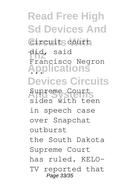**Read Free High Sd Devices And** Circuits court **Thz** did, said **Applications** ... **Devices Circuits And Systems** Supreme Court Francisco Negron sides with teen in speech case over Snapchat outburst the South Dakota Supreme Court has ruled. KELO-TV reported that Page 33/35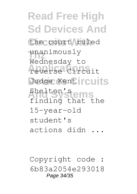**Read Free High Sd Devices And** the court ruled unanimously<br>Wednesday t **Applications** reverse Circuit Judge Kent **rcuits And Systems** Shelton's Wednesday to finding that the 15-year-old student's actions didn ...

Copyright code : 6b83a2054e293018 Page 34/35